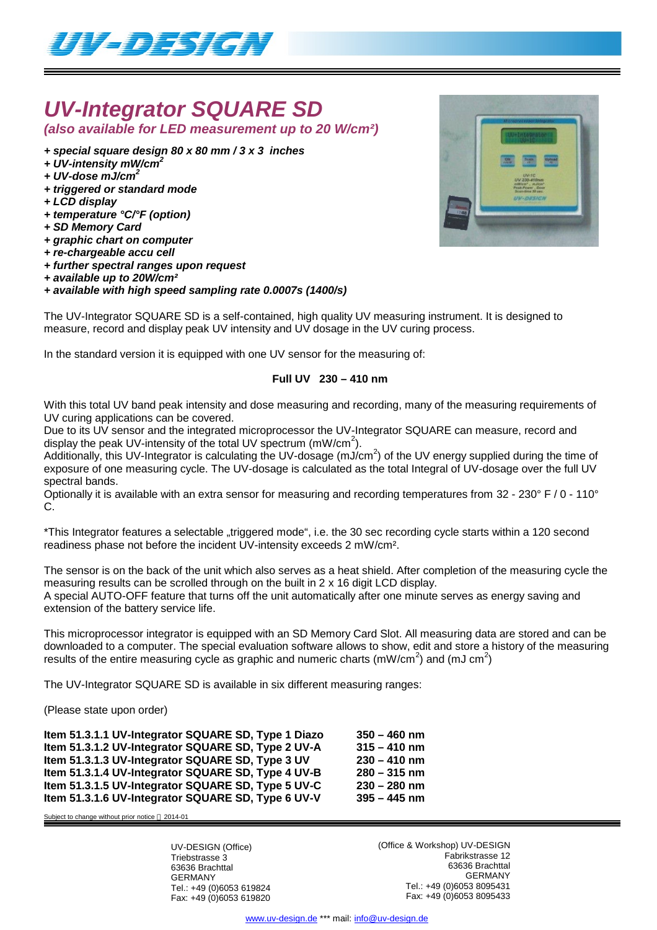

# *UV-Integrator SQUARE SD*

*(also available for LED measurement up to 20 W/cm²)*

*+ special square design 80 x 80 mm / 3 x 3 inches*

- *+ UV-intensity mW/cm<sup>2</sup>*
- *+ UV-dose mJ/cm<sup>2</sup>*
- *+ triggered or standard mode*
- *+ LCD display*
- *+ temperature °C/°F (option)*
- *+ SD Memory Card*
- *+ graphic chart on computer*
- *+ re-chargeable accu cell*
- *+ further spectral ranges upon request*
- *+ available up to 20W/cm²*

### *+ available with high speed sampling rate 0.0007s (1400/s)*

The UV-Integrator SQUARE SD is a self-contained, high quality UV measuring instrument. It is designed to measure, record and display peak UV intensity and UV dosage in the UV curing process.

In the standard version it is equipped with one UV sensor for the measuring of:

## **Full UV 230 – 410 nm**

With this total UV band peak intensity and dose measuring and recording, many of the measuring requirements of UV curing applications can be covered.

Due to its UV sensor and the integrated microprocessor the UV-Integrator SQUARE can measure, record and display the peak UV-intensity of the total UV spectrum (mW/cm<sup>2</sup>).

Additionally, this UV-Integrator is calculating the UV-dosage (mJ/cm<sup>2</sup>) of the UV energy supplied during the time of exposure of one measuring cycle. The UV-dosage is calculated as the total Integral of UV-dosage over the full UV spectral bands.

Optionally it is available with an extra sensor for measuring and recording temperatures from 32 - 230° F / 0 - 110° C.

\*This Integrator features a selectable "triggered mode", i.e. the 30 sec recording cycle starts within a 120 second readiness phase not before the incident UV-intensity exceeds 2 mW/cm².

The sensor is on the back of the unit which also serves as a heat shield. After completion of the measuring cycle the measuring results can be scrolled through on the built in 2 x 16 digit LCD display. A special AUTO-OFF feature that turns off the unit automatically after one minute serves as energy saving and extension of the battery service life.

This microprocessor integrator is equipped with an SD Memory Card Slot. All measuring data are stored and can be downloaded to a computer. The special evaluation software allows to show, edit and store a history of the measuring results of the entire measuring cycle as graphic and numeric charts (mW/cm<sup>2</sup>) and (mJ cm<sup>2</sup>)

The UV-Integrator SQUARE SD is available in six different measuring ranges:

(Please state upon order)

**Item 51.3.1.1 UV-Integrator SQUARE SD, Type 1 Diazo 350 – 460 nm Item 51.3.1.2 UV-Integrator SQUARE SD, Type 2 UV-A 315 – 410 nm Item 51.3.1.3 UV-Integrator SQUARE SD, Type 3 UV 230 – 410 nm Item 51.3.1.4 UV-Integrator SQUARE SD, Type 4 UV-B 280 – 315 nm Item 51.3.1.5 UV-Integrator SQUARE SD, Type 5 UV-C 230 – 280 nm Item 51.3.1.6 UV-Integrator SQUARE SD, Type 6 UV-V 395 – 445 nm**

Subject to change without prior notice  $@$  2014-01

UV-DESIGN (Office) Triebstrasse 3 63636 Brachttal GERMANY Tel.: +49 (0)6053 619824 Fax: +49 (0)6053 619820 (Office & Workshop) UV-DESIGN Fabrikstrasse 12 63636 Brachttal GERMANY Tel.: +49 (0)6053 8095431 Fax: +49 (0)6053 8095433